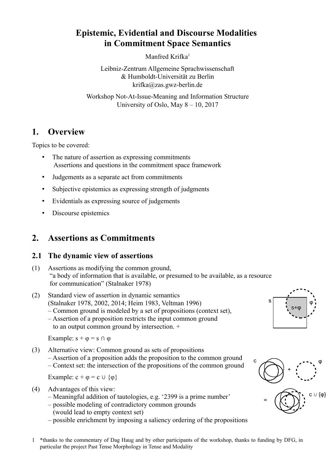# **Epistemic, Evidential and Discourse Modalities in Commitment Space Semantics**

Manfred Krifka<sup>[1](#page-0-0)</sup>

Leibniz-Zentrum Allgemeine Sprachwissenschaft & Humboldt-Universität zu Berlin krifka@zas.gwz-berlin.de

Workshop Not-At-Issue-Meaning and Information Structure University of Oslo, May 8 – 10, 2017

# **1. Overview**

Topics to be covered:

- The nature of assertion as expressing commitments Assertions and questions in the commitment space framework
- Judgements as a separate act from commitments
- Subjective epistemics as expressing strength of judgments
- Evidentials as expressing source of judgements
- Discourse epistemics

# **2. Assertions as Commitments**

### **2.1 The dynamic view of assertions**

(1) Assertions as modifying the common ground, "a body of information that is available, or presumed to be available, as a resource for communication" (Stalnaker 1978)



to an output common ground by intersection. +

Example:  $s + \varphi = s \cap \varphi$ 

(3) Alternative view: Common ground as sets of propositions – Assertion of a proposition adds the proposition to the common ground – Context set: the intersection of the propositions of the common ground

Example:  $c + \varphi = c \cup \{\varphi\}$ 

(4) Advantages of this view:

- Meaningful addition of tautologies, e.g. '2399 is a prime number'
- possible modeling of contradictory common grounds (would lead to empty context set)
- possible enrichment by imposing a saliency ordering of the propositions





<span id="page-0-0"></span>1 \*thanks to the commentary of Dag Haug and by other participants of the workshop, thanks to funding by DFG, in particular the project Past Tense Morphology in Tense and Modality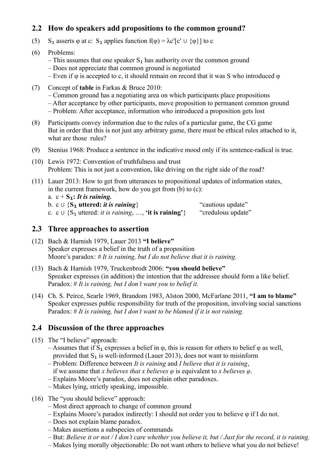# **2.2 How do speakers add propositions to the common ground?**

- (5) S<sub>1</sub> asserts  $\varphi$  at c: S<sub>1</sub> applies function  $f(\varphi) = \lambda c' [c' \cup {\varphi}]$  to c
- (6) Problems:
	- $-$  This assumes that one speaker  $S_1$  has authority over the common ground
	- Does not appreciate that common ground is negotiated
	- Even if  $\varphi$  is accepted to c, it should remain on record that it was S who introduced  $\varphi$
- (7) Concept of **table** in Farkas & Bruce 2010:
	- Common ground has a negotiating area on which participants place propositions – After acceptance by other participants, move proposition to permanent common ground – Problem: After acceptance, information who introduced a proposition gets lost
- (8) Participants convey information due to the rules of a particular game, the CG game But in order that this is not just any arbitrary game, there must be ethical rules attached to it, what are those rules?
- (9) Stenius 1968: Produce a sentence in the indicative mood only if its sentence-radical is true.
- (10) Lewis 1972: Convention of truthfulness and trust Problem: This is not just a convention, like driving on the right side of the road?
- (11) Lauer 2013: How to get from utterances to propositional updates of information states, in the current framework, how do you get from (b) to (c): a.  $c + S_1$ : It is raining. b. c  $\cup$  {S<sub>**1</sub> uttered:** *it is raining***} "cautious update"<br>c. c**  $\cup$  **{S<sub>1</sub> uttered:** *it is raining***, ..., 'it is raining'} "credulous update"</sub>** c. c  $\cup$  {S<sub>1</sub> uttered: *it is raining*, ..., **'it is raining'**}

## **2.3 Three approaches to assertion**

- (12) Bach & Harnish 1979, Lauer 2013 **"I believe"** Speaker expresses a belief in the truth of a proposition Moore's paradox: *# It is raining, but I do not believe that it is raining.*
- (13) Bach & Harnish 1979, Truckenbrodt 2006: **"you should believe"** Spreaker expresses (in addition) the intention that the addressee should form a like belief. Paradox: # *It is raining, but I don't want you to belief it.*
- (14) Ch. S. Peirce, Searle 1969, Brandom 1983, Alston 2000, McFarlane 2011, **"I am to blame"** Speaker expresses public responsibility for truth of the proposition, involving social sanctions Paradox: # *It is raining, but I don't want to be blamed if it is not raining.*

## **2.4 Discussion of the three approaches**

- (15) The "I believe" approach:
	- Assumes that if  $S_1$  expresses a belief in  $\varphi$ , this is reason for others to belief  $\varphi$  as well, provided that  $S_1$  is well-informed (Lauer 2013), does not want to misinform
	- Problem: Difference between *It is raining* and *I believe that it is raining*, if we assume that *x believes that x believes φ* is equivalent to *x believes φ*.
	- Explains Moore's paradox, does not explain other paradoxes.
	- Makes lying, strictly speaking, impossible.
- (16) The "you should believe" approach:
	- Most direct approach to change of common ground
	- Explains Moore's paradox indirectly: I should not order you to believe φ if I do not.
	- Does not explain blame paradox.
	- Makes assertions a subspecies of commands
	- But: *Believe it or not / I don't care whether you believe it, but / Just for the record, it is raining.*
	- Makes lying morally objectionable: Do not want others to believe what you do not believe!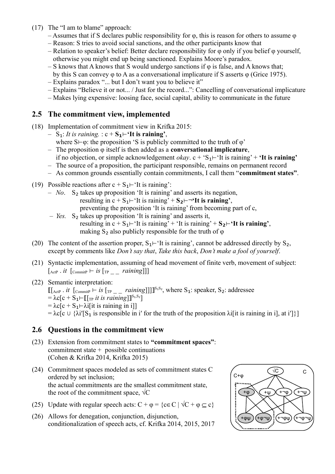- (17) The "I am to blame" approach:
	- Assumes that if S declares public responsibility for  $\varphi$ , this is reason for others to assume  $\varphi$
	- Reason: S tries to avoid social sanctions, and the other participants know that
	- Relation to speaker's belief: Better declare responsibility for  $\varphi$  only if you belief  $\varphi$  yourself, otherwise you might end up being sanctioned. Explains Moore's paradox.
	- S knows that A knows that S would undergo sanctions if  $\varphi$  is false, and A knows that; by this S can convey φ to A as a conversational implicature if S asserts φ (Grice 1975).
	- Explains paradox "... but I don't want you to believe it"
	- Explains "Believe it or not... / Just for the record...": Cancelling of conversational implicature
	- Makes lying expensive: loosing face, social capital, ability to communicate in the future

### **2.5 The commitment view, implemented**

- (18) Implementation of commitment view in Krifka 2015:
	- S₁: *It is raining.* : c + **S₁**⊢**'It is raining'**,
		- where  $S\vdash\varphi$ : the proposition 'S is publicly committed to the truth of  $\varphi$ '
	- The proposition φ itself is then added as a **conversational implicature**, if no objection, or simple acknowledgement *okay*. c + 'S₁⊢'It is raining' + **'It is raining'**
	- The source of a proposition, the participant responsible, remains on permanent record
	- As common grounds essentially contain commitments, I call them "**commitment states"**.
- (19) Possible reactions after  $c + S_1$ ⊢'It is raining':
	- *No*. S₂ takes up proposition 'It is raining' and asserts its negation, resulting in  $c + S_1$ <sup> $\vdash$ </sup><sup>'</sup>It is raining' +  $S_2$  $\vdash$ <sup> $\neg$ </sup><sup>'</sup>It is raining', preventing the proposition 'It is raining' from becoming part of c,
	- *Yes.* S₂ takes up proposition 'It is raining' and asserts it, resulting in  $c + S_1$  ⊢'It is raining' + 'It is raining' +  $S_2$  ⊢'It is raining', making  $S_2$  also publicly responsible for the truth of  $\varphi$
- (20) The content of the assertion proper,  $S_1$ –'It is raining', cannot be addressed directly by  $S_2$ , except by comments like *Don't say that*, *Take this back*, *Don't make a fool of yourself*.
- (21) Syntactic implementation, assuming of head movement of finite verb, movement of subject:  $\left[\begin{smallmatrix} 1 & 0 \\ \text{ActP} & \cdot & i \end{smallmatrix}\right]$   $\left[\begin{smallmatrix} 1 & 0 \\ \text{CommitP} & \cdot & i \end{smallmatrix}\right]$
- (22) Semantic interpretation: ⟦[ActP . *it* [CommitP ⊢ *is* [TP \_ \_ *raining*]]]⟧ S₁S₂ , where S₁: speaker, S₂: addressee  $= \lambda c[c + S_1 \vdash [[\text{tr } it \text{ is raining}]]^{S_1, S_2}]$  $= \lambda c[c + S_1 \rightarrow \lambda i[i]$  is raining in i]] =  $\lambda c[c \cup {\lambda i'[S_1]$  is responsible in i' for the truth of the proposition  $\lambda i[i]$  is raining in i], at i']}]

### **2.6 Questions in the commitment view**

- (23) Extension from commitment states to **"commitment spaces"**: commitment state + possible continuations (Cohen & Krifka 2014, Krifka 2015)
- (24) Commitment spaces modeled as sets of commitment states C ordered by set inclusion; the actual commitments are the smallest commitment state, the root of the commitment space,  $\sqrt{C}$
- (25) Update with regular speech acts:  $C + \varphi = \{c \in C \mid \sqrt{C} + \varphi \subset c\}$
- (26) Allows for denegation, conjunction, disjunction, conditionalization of speech acts, cf. Krifka 2014, 2015, 2017

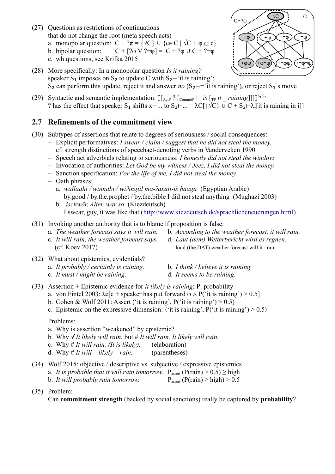- (27) Questions as restrictions of continuations
	- a. monopolar question:  $C + ?\pi = \{ \sqrt{C} \} \cup \{ c \in C \mid \sqrt{C} + \varphi \subset c \}$
	- b. bipolar question:  $C + [? \phi V ? \neg \phi] = C + ? \phi \cup C + ? \neg \phi$
	- c. wh questions, see Krifka 2015
- (28) More specifically: In a monopolar question *Is it raining?*  speaker  $S_1$  imposes on  $S_2$  to update C with  $S_2$ ⊢'it is raining'; S<sub>2</sub> can perform this update, reject it and answer *no*  $(S_2 \rightarrow \rightarrow 'it$  is raining'), or reject S<sub>1</sub>'s move
- (29) Syntactic and semantic implementation: ⟦[ActP ? [CommitP ⊢ *is* [TP *it \_ raining*]]]⟧ S₁,S₂ ? has the effect that speaker S<sub>1</sub> shifts x⊢... to S<sub>2</sub>⊢... =  $\lambda C[\{\sqrt{C}\} \cup C + S_2 \mapsto \lambda i[\text{it is raining in i}]]$

# **2.7 Refinements of the commitment view**

- (30) Subtypes of assertions that relate to degrees of seriousness / social consequences:
	- Explicit performatives: *I swear / claim / suggest that he did not steal the money.* cf. strength distinctions of speechact-denoting verbs in Vanderveken 1990
	- Speech act adverbials relating to seriousness: *I honestly did not steal the window.*
	- Invocation of authorities: *Let God be my witness / Jeez, I did not steal the money.*
	- Sanction specification: *For the life of me, I did not steal the money.*
	- Oath phrases:
		- a. *wallaahi / winnabi / wiʔingiil ma-ʔaxatt-iš ḥaaga* (Egyptian Arabic) by.good / by.the.prophet / by.the.bible I did not steal anything (Mughazi 2003)
		- b. *ischwör, Alter, war so* (Kiezdeutsch) I.swear, guy, it was like that [\(http://www.kiezdeutsch.de/sprachlicheneuerungen.html\)](http://www.kiezdeutsch.de/sprachlicheneuerungen.html)
- (31) Invoking another authority that is to blame if proposition is false:
	-
	-
	- a. *The weather forecast says it will rain.* b. *According to the weather forecast, it will rain.*
	- c. *It will rain, the weather forecast says.* d. *Laut (dem) Wetterbericht wird es regnen.* (cf. Koev 2017) loud (the.DAT) weather.forecast will it rain
- (32) What about epistemics, evidentials?
	- a. *It probably / certainly is raining.* b. *I think / believe it is raining.*
- - c. *It must / might be raining.* d. *It seems to be raining.*
- (33) Assertion + Epistemic evidence for *it likely is raining*; P: probability
	- a. von Fintel 2003:  $\lambda c[c + speaker$  has put forward  $\varphi \wedge P('it is raining') > 0.5]$
	- b. Cohen & Wolf 2011: Assert ('it is raining',  $P("it is raining") > 0.5)$ )
	- c. Epistemic on the expressive dimension:  $\langle$  it is raining', P( $\langle$  it is raining') > 0.5 $\rangle$

Problems:

- a. Why is assertion "weakened" by epistemic?
- b. Why ✓*It likely will rain.* but # *It will rain. It likely will rain.*
- c. Why # *It will rain. (It is likely).* (elaboration)
- d. Why # *It will likely rain.* (parentheses)
- (34) Wolf 2015: objective / descriptive vs. subjective / expressive epistemics a. *It is probable that it will rain tomorrow.*  $P_{\text{assert}} (P(\text{rain}) > 0.5) \ge \text{high}$ b. *It will probably rain tomorrow.*  $P_{\text{assert}} (P(\text{rain}) \ge \text{high}) > 0.5$
- (35) Problem:

Can **commitment strength** (backed by social sanctions) really be captured by **probability**?



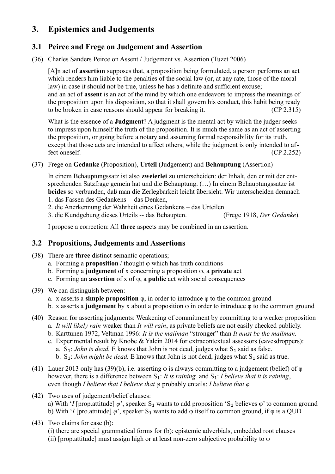# **3. Epistemics and Judgements**

## **3.1 Peirce and Frege on Judgement and Assertion**

(36) Charles Sanders Peirce on Assent / Judgement vs. Assertion (Tuzet 2006)

[A]n act of **assertion** supposes that, a proposition being formulated, a person performs an act which renders him liable to the penalties of the social law (or, at any rate, those of the moral law) in case it should not be true, unless he has a definite and sufficient excuse; and an act of **assent** is an act of the mind by which one endeavors to impress the meanings of the proposition upon his disposition, so that it shall govern his conduct, this habit being ready to be broken in case reasons should appear for breaking it. (CP 2.315)

What is the essence of a **Judgment**? A judgment is the mental act by which the judger seeks to impress upon himself the truth of the proposition. It is much the same as an act of asserting the proposition, or going before a notary and assuming formal responsibility for its truth, except that those acts are intended to affect others, while the judgment is only intended to affect oneself. (CP 2.252)

### (37) Frege on **Gedanke** (Proposition), **Urteil** (Judgement) and **Behauptung** (Assertion)

In einem Behauptungssatz ist also **zweierlei** zu unterscheiden: der Inhalt, den er mit der entsprechenden Satzfrage gemein hat und die Behauptung. (…) In einem Behauptungssatze ist **beides** so verbunden, daß man die Zerlegbarkeit leicht übersieht. Wir unterscheiden demnach 1. das Fassen des Gedankens -- das Denken,

2. die Anerkennung der Wahrheit eines Gedankens – das Urteilen

3. die Kundgebung dieses Urteils -- das Behaupten. (Frege 1918, *Der Gedanke*).

I propose a correction: All **three** aspects may be combined in an assertion.

## **3.2 Propositions, Judgements and Assertions**

- (38) There are **three** distinct semantic operations;
	- a. Forming a **proposition** / thought φ which has truth conditions
	- b. Forming a **judgement** of x concerning a proposition φ, a **private** act
	- c. Forming an **assertion** of x of φ, a **public** act with social consequences
- <span id="page-4-0"></span>(39) We can distinguish between:
	- a. x asserts a **simple proposition** φ, in order to introduce φ to the common ground
	- b. x asserts a **judgement** by x about a proposition φ in order to introduce φ to the common ground
- (40) Reason for asserting judgments: Weakening of commitment by committing to a weaker proposition a. *It will likely rain* weaker than *It will rain*, as private beliefs are not easily checked publicly.
	- b. Karttunen 1972, Veltman 1996: *It is the mailman* "stronger" than *It must be the mailman.*
	- c. Experimental result by Knobe & Yalcin 2014 for extracontextual assessors (eavesdroppers): a. S₁: *John is dead.* E knows that John is not dead, judges what S₁ said as false. b.  $S_1$ : *John might be dead.* E knows that John is not dead, judges what  $S_1$  said as true.
- (41) Lauer 2013 only has [\(39\)\(](#page-4-0)b), i.e. asserting  $\varphi$  is always committing to a judgement (belief) of  $\varphi$ however, there is a difference between S₁: *It is raining.* and S₁: *I believe that it is raining*, even though *I believe that I believe that φ* probably entails: *I believe that φ*
- (42) Two uses of judgement/belief clauses: a) With '*I* [prop.attitude]  $\varphi$ ', speaker S<sub>1</sub> wants to add proposition 'S<sub>1</sub> believes  $\varphi$ ' to common ground b) With '*I* [pro.attitude]  $\varphi$ ', speaker S<sub>1</sub> wants to add  $\varphi$  itself to common ground, if  $\varphi$  is a QUD
- (43) Two claims for case (b):
	- (i) there are special grammatical forms for (b): epistemic adverbials, embedded root clauses (ii) [prop.attitude] must assign high or at least non-zero subjective probability to φ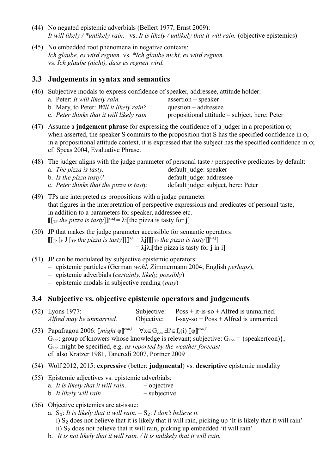- (44) No negated epistemic adverbials (Bellert 1977, Ernst 2009): *It will likely / \*unlikely rain.* vs. *It is likely / unlikely that it will rain.* (objective epistemics)
- (45) No embedded root phenomena in negative contexts: *Ich glaube, es wird regnen.* vs. *\*Ich glaube nicht, es wird regnen.*  vs. *Ich glaube (nicht), dass es regnen wird.*

#### **3.3 Judgements in syntax and semantics**

- (46) Subjective modals to express confidence of speaker, addressee, attitude holder:
	- a. Peter: *It will likely rain.* assertion speaker b. Mary, to Peter: *Will it likely rain?* question – addressee c. *Peter thinks that it will likely rain* propositional attitude – subject, here: Peter
- (47) Assume a **judgement phrase** for expressing the confidence of a judger in a proposition φ; when asserted, the speaker S commits to the proposition that S has the specified confidence in φ, in a propositional attitude context, it is expressed that the subject has the specified confidence in  $\varphi$ ; cf. Speas 2004, Evaluative Phrase.
- (48) The judger aligns with the judge parameter of personal taste / perspective predicates by default:

| a. <i>The pizza is tasty</i> .           | default judge: speaker              |
|------------------------------------------|-------------------------------------|
| b. Is the pizza tasty?                   | default judge: addressee            |
| c. Peter thinks that the pizza is tasty. | default judge: subject, here: Peter |

(49) TPs are interpreted as propositions with a judge parameter that figures in the interpretation of perspective expressions and predicates of personal taste, in addition to a parameters for speaker, addressee etc.  $\llbracket [\text{TP} \text{ the pizza is } \text{task} \text{ or } \textbf{j}] \rrbracket^{\text{s,a},\textbf{i}} = \lambda \text{ if the pizza is } \text{task} \text{ for } \textbf{j} \rrbracket$ 

- (50) JP that makes the judge parameter accessible for semantic operators:  $\llbracket \left[ \begin{smallmatrix} \cdot \end{smallmatrix} \right]$   $\llbracket \begin{smallmatrix} \cdot \end{smallmatrix} \right]$   $\llbracket \begin{smallmatrix} \cdot \end{smallmatrix}$  *f*  $\llbracket \cdot \end{smallmatrix}$  *f*  $\llbracket \begin{smallmatrix} \cdot \end{smallmatrix}$  *f*  $\llbracket \begin{smallmatrix} \cdot \end{smallmatrix}$  *f*  $\llbracket \begin{smallmatrix} \cdot \end{smallmatrix}$  *f*  $\llbracket \cdot \rrbracket$  *f f asty f*  $\llbracket \cdot \rrbracket$  $= \lambda \mathbf{i} \lambda \mathbf{i}$  [the pizza is tasty for **j** in i]
- (51) JP can be modulated by subjective epistemic operators:
	- epistemic particles (German *wohl*, Zimmermann 2004; English *perhaps*),
	- epistemic adverbials (*certainly, likely, possibly*)
	- epistemic modals in subjective reading (*may*)

#### **3.4 Subjective vs. objective epistemic operators and judgements**

| $(52)$ Lyons 1977:       |            | Subjective: $Poss + it-is-so + Alfred$ is unmarried. |
|--------------------------|------------|------------------------------------------------------|
| Alfred may be unmarried. | Objective: | $I-say-so + Poss + Alfred$ is unmarried.             |

(53) Papafragou 2006: *[[might*  $\varphi$ ]<sup>[con,i</sup> =  $\forall$ x $\in$  G<sub>con</sub>  $\exists i' \in f_x(i)$  [[ $\varphi$ ]<sup>[con,i</sup><sup>'</sup>  $G_{\text{con}}$ : group of knowers whose knowledge is relevant; subjective:  $G_{\text{con}} = \{\text{speaker}(\text{con})\},\$ Gcon might be specified, e.g. *as reported by the weather forecast* cf. also Kratzer 1981, Tancredi 2007, Portner 2009

- (54) Wolf 2012, 2015: **expressive** (better: **judgmental**) vs. **descriptive** epistemic modality
- (55) Epistemic adjectives vs. epistemic adverbials:
	- a. *It is likely that it will rain.* objective
	- b. *It likely will rain*. subjective
- (56) Objective epistemics are at-issue:
	- a.  $S_1$ : *It is likely that it will rain.*  $-S_2$ : *I don't believe it.* 
		- i)  $S<sub>2</sub>$  does not believe that it is likely that it will rain, picking up 'It is likely that it will rain' ii) S₂ does not believe that it will rain, picking up embedded 'it will rain'
	- b. *It is not likely that it will rain. / It is unlikely that it will rain.*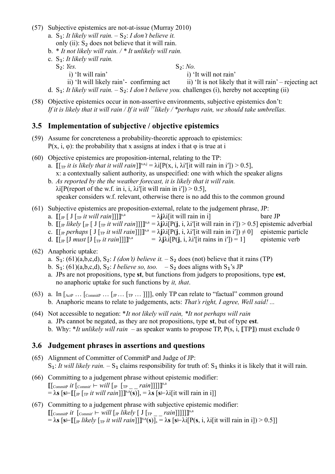- (57) Subjective epistemics are not-at-issue (Murray 2010)
	- a.  $S_1$ : *It likely will rain.*  $-S_2$ : *I don't believe it.* only (ii): S₂ does not believe that it will rain.
	- b. \* *It not likely will rain. / \* It unlikely will rain.*
	- c. S₁: *It likely will rain.*

S<sub>2</sub>: *Yes.* S<sub>2</sub>: *Yes.* S<sub>2</sub>: *No.* 

*i*) 'It will rain' *i*) 'It will not rain'

- ii) 'It will likely rain'- confirming act ii) 'It is not likely that it will rain' rejecting act d. S<sub>1</sub>: *It likely will rain.*  $- S_2$ : *I don't believe you.* challenges (i), hereby not accepting (ii)
- (58) Objective epistemics occur in non-assertive environments, subjective epistemics don't: *If it is likely that it will rain / If it will ??likely / \*perhaps rain, we should take umbrellas.*

### **3.5 Implementation of subjective / objective epistemics**

- (59) Assume for concreteness a probability-theoretic approach to epistemics:  $P(x, i, \varphi)$ : the probability that x assigns at index i that  $\varphi$  is true at i
- (60) Objective epistemics are proposition-internal, relating to the TP:
	- a.  $[[\]_{\text{TP}}\text{ it is likely that it will rain}]]^{\text{s},\text{a},\text{j}} = \lambda i[P(x, i, \lambda i'[\text{it will rain in i'}]) > 0.5],$ x: a contextually salient authority, as unspecified: one with which the speaker aligns
	- b. *As reported by the the weather forecast, it is likely that it will rain.*  $\lambda$ i[P(report of the w.f. in i, i,  $\lambda$ i'[it will rain in i']) > 0.5], speaker considers w.f. relevant, otherwise there is no add this to the common ground
- <span id="page-6-0"></span>(61) Subjective epistemics are proposition-external, relate to the judgement phrase, JP:
	- a.  $\llbracket \lbrack \rrbracket_p \rbrack$   $\rrbracket$   $\llbracket \lbrack \rrbracket_p$  *it will rain*  $\llbracket \rbrack \rrbracket^{s,a}$  $= \lambda \mathbf{i} \lambda \mathbf{i}$  [it will rain in i] bare JP
	- b.  $[[\ln \text{likely} [\ln \text{[ J } [\ln \text{it} \text{ will } \text{rain}]]]]^{\text{s,a}} = \lambda \text{j} \lambda \text{i} [\text{P}(\text{j}, \text{i}, \lambda \text{i}'] \text{ it will rain in i']) > 0.5]$  epistemic adverbial
	- c.  $[[\ln \text{perhaps} [ J [\ln \text{it} \text{will } \text{rain}]]]]^{s,a} = \lambda \text{j} \lambda \text{i} [P(j, i, \lambda \text{i}'] \text{it will } \text{rain } \text{in} \text{ i}']) \neq 0]$  epistemic particle
	- d.  $\llbracket \lceil \ln \left[ J \right] \rceil$  *must*  $\llbracket J \right]$   $\llbracket \lceil \ln \left[ J \right] \rceil$  *nust*  $\llbracket J \right]$  *nust*  $\llbracket J \right]$  *nust*  $\llbracket J \rbrace$  *nust*  $\llbracket J \rbrace$  *nust*  $\llbracket J \rbrace$  *nust*  $\llbracket J \rbrace$  *nust*  $\llbracket J \rbrace$  *nust*  $\llbracket J \rbrace$  *nust*  $\llbracket J \rbrace$   $= \lambda \mathbf{i} \lambda \mathbf{i} [\mathbf{P}(\mathbf{i}), \mathbf{i}, \lambda \mathbf{i}']$  it rains in i']) = 1] epistemic verb
- (62) Anaphoric uptake:
	- a. S<sub>1</sub>: [\(61\)\(](#page-6-0)a,b,c,d), S<sub>2</sub>: *I (don't) believe it.*  $-$  S<sub>2</sub> does (not) believe that it rains (TP)
	- b. S<sub>1</sub>: [\(61\)\(](#page-6-0)a,b,c,d), S<sub>2</sub>: *I believe so, too.*  $-S_2$  does aligns with S<sub>1</sub>'s JP
	- a. JPs are not propositions, type **st**, but functions from judgers to propositions, type **est**, no anaphoric uptake for such functions by *it, that*.
- (63) a. In  $[{\rm AcfP} \dots [{\rm CommitP} \dots [{\rm TP} \dots ]]]]$ , only TP can relate to "factual" common ground b. Anaphoric means to relate to judgements, acts: *That's right, I agree, Well said! ...*
- (64) Not accessible to negation: \**It not likely will rain, \*It not perhaps will rain* a. JPs cannot be negated, as they are not propositions, type **st**, but of type **est**. b. Why: \**It unlikely will rain* – as speaker wants to propose TP, P(s, i, [TP]) must exclude 0

### **3.6 Judgement phrases in assertions and questions**

- (65) Alignment of Committer of CommitP and Judge of JP:  $S_1$ : *It will likely rain.* –  $S_1$  claims responsibility for truth of:  $S_1$  thinks it is likely that it will rain.
- (66) Committing to a judgement phrase without epistemic modifier:  $\mathbb{I}[\text{CommitP } it \text{ [commut} \vdash will \text{ [IP } [\text{TP } \_ \_ \_ \text{rain}]]]] \mathbb{I}^{\text{s,a}}$  $= \lambda s$  [**s**⊢ $[[p_T]$ <sub>[TP</sub> *it will rain*]] $]$ <sup>[s,a</sup>(**s**)],  $= \lambda s$  [**s**⊢ $\lambda i$ [it will rain in i]]
- (67) Committing to a judgement phrase with subjective epistemic modifier:  $\mathbb{I}[\text{CommitP } it \; [\text{CommitV} \vdash will [J_{\text{IP}} \; likely \; [ \; J \; [\text{TP } \underline{\hspace{1cm}} \underline{\hspace{1cm}} \text{rain}]]]]]^{\text{s,a}}$  $= \lambda s$  [**s** $\vdash$  [[<sub>JP</sub> *likely* [<sub>TP</sub> *it will rain*]]]<sup>[s,a</sup>(**s**)],  $= \lambda s$  [**s** $\vdash \lambda i$ [P(**s**, *i*,  $\lambda i$ [it will rain in i]) > 0.5]]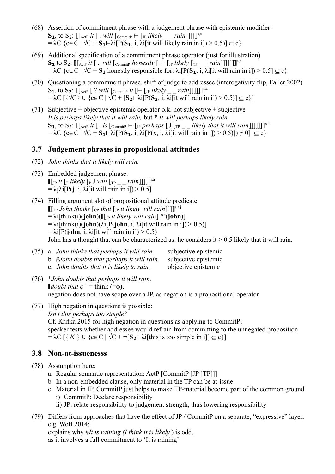- (68) Assertion of commitment phrase with a judgement phrase with epistemic modifier:  $\mathbf{S_1}$ , to  $\mathbf{S_2}$ :  $\mathbb{I}[$  ActP *it*  $[$  . *will*  $[$ CommitP ⊢  $[$  *IP likely \_ \_ rain*]]]]]  $= \lambda C \{c \in C \mid \sqrt{C} + S_1 \cup \lambda [P(S_1, i, \lambda)]$  it will likely rain in i]) > 0.5)]  $\subseteq c$
- (69) Additional specification of a commitment phrase operator (just for illustration)  $\mathbf{S_1}$  to  $\mathbf{S_2}$ :  $\mathbb{I}$ [<sub>ActP</sub> *it* [ . *will* [<sub>CommitP</sub> *honestly* [ ⊢ [<sub>JP</sub> *likely* [<sub>TP \_</sub> \_ *rain*]]]]]]]]  $= \lambda C$  {c $\in$  C |  $\sqrt{C}$  + **S**<sub>1</sub> honestly responsible for:  $\lambda$ i[P(**S**<sub>1</sub>, i,  $\lambda$ i[it will rain in i]) > 0.5]  $\subseteq$  c}
- (70) Questioning a commitment phrase, shift of judge to addressee (interogativity flip, Faller 2002)  $\mathbf{S_1}$ , to  $\mathbf{S_2}$ :  $\mathbb{I}[\text{ActP} \; | \; ? \; will \; [\text{commitP} \; it \; [- \; [ \text{JP} \; likely \; \underline{\hspace{0.3cm}} \; "rain]]]]]^{\text{S},a}$  $= \lambda C \left[\{\sqrt{C}\}\cup \{\mathbf{c} \in C \mid \sqrt{C} + [\mathbf{S_2} - \lambda i] P(\mathbf{S_2}, i, \lambda i] \text{ it will rain in } i]\}\right) > 0.5\right] \subseteq c\}$
- (71) Subjective + objective epistemic operator o.k. not subjective + subjective *It is perhaps likely that it will rain,* but \* *It will perhaps likely rain*  $\mathbf{S}_\mathbf{1}$ , to  $\mathbf{S}_\mathbf{2}$ :  $\mathbb{I}$  [ActP *it* [.. *is* [CommitP ⊢ [JP *perhaps* [J [<sub>TP \_</sub> *likely that it will rain*]]]]]]]]]  $= \lambda \text{C} \left\{ \text{ceC} \mid \sqrt{\text{C} + \text{S}_1} \text{Li}[\text{P}(\text{S}_1, \text{i}, \lambda)] \text{P}(\text{x}, \text{i}, \lambda) \text{J}(\text{it will rain in i}]) \right\} = 0.5)$

### **3.7 Judgement phrases in propositional attitudes**

- (72) *John thinks that it likely will rain.*
- (73) Embedded judgement phrase:  $\llbracket \left[ \ln \textit{it} \left[ \textit{y} \textit{ likely} \left[ \textit{y} \textit{J} \textit{will} \left[ \textit{tp} \right] \right] - \textit{rain} \right] \right] \right] \rrbracket^{\text{s,a}}$  $= \lambda \mathbf{i} \lambda \mathbf{i} [P(\mathbf{i}, \mathbf{i}, \lambda \mathbf{j}]$  it will rain in i]) > 0.5]
- (74) Filling argument slot of propositional attitude predicate [[<sub>TP</sub> John thinks [<sub>CP</sub> that [<sub>JP</sub> it likely will rain]]]]<sup>[\$,a,j</sup> = λi[think(i)(**john**)([[<sub>JP</sub> *it likely will rain*]]<sup>§,a</sup>(**john**)]  $= \lambda i[\text{think}(i)(\text{iohn})(\lambda i[P(\text{iohn}, i, \lambda i][t \text{ will rain in } i]) > 0.5)]$  $= \lambda i[P(john, i, \lambda i[it will rain in i]) > 0.5)$ John has a thought that can be characterized as: he considers it  $> 0.5$  likely that it will rain.

| (75) a. John thinks that perhaps it will rain. | subjective epistemic |
|------------------------------------------------|----------------------|
| b. #John doubts that perhaps it will rain.     | subjective epistemic |
| c. John doubts that it is likely to rain.      | objective epistemic  |

- (76) \**John doubts that perhaps it will rain.*  $\llbracket$ *doubt that*  $\varphi \rrbracket =$  think ( $\neg \varphi$ ), negation does not have scope over a JP, as negation is a propositional operator
- (77) High negation in questions is possible: *Isn't this perhaps too simple?* Cf. Krifka 2015 for high negation in questions as applying to CommitP; speaker tests whether addressee would refrain from committing to the unnegated proposition  $= \lambda C \left[ \{ \sqrt{C} \} \cup \{ c \in C \} \right] \sqrt{C} + \sqrt{S_2} - \lambda i$  [this is too simple in i]]  $\subseteq c$  }

### **3.8 Non-at-issuenesss**

- (78) Assumption here:
	- a. Regular semantic representation: ActP [CommitP [JP [TP]]]
	- b. In a non-embedded clause, only material in the TP can be at-issue
	- c. Material in JP, CommitP just helps to make TP-material become part of the common ground i) CommitP: Declare responsibility
		- ii) JP: relate responsibility to judgement strength, thus lowering responsibility
- (79) Differs from approaches that have the effect of JP / CommitP on a separate, "expressive" layer, e.g. Wolf 2014; explains why #*It is raining (I think it is likely.*) is odd,

as it involves a full commitment to 'It is raining'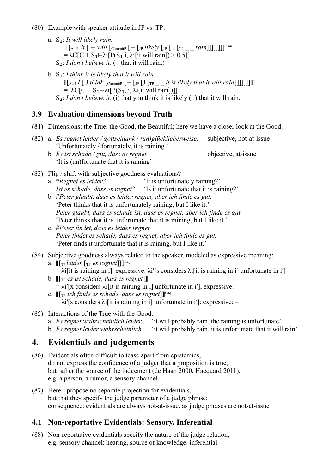- (80) Example with speaker attitude in JP vs. TP:
	- a. S₁: *It will likely rain.* ⟦[ActP *it* [ ⊢ *will* [CommitP [⊢ [JP *likely* [JP [ J [TP \_ \_ *rain*]]]]]]]]⟧ s,a =  $\lambda$ C[C + S<sub>1</sub> $-\lambda$ i[P(S<sub>1</sub> i,  $\lambda$ i[it will rain]) > 0.5]]  $S_2$ : *I don't believe it.* (= that it will rain.)
	- b. S₁: *I think it is likely that it will rain.*  $\mathbb{I}[\text{ActP } I \text{ } I \text{ } think \text{ [commitP } [- \text{ [J } [T_{\text{PP }}_ \text{ } \text{ } \text{ } it \text{ is likely that it will rain]]]]]]]$ =  $\lambda C[C + S_1 \rightarrow \lambda i[P(S_1, i, \lambda i[i \text{t will rain}])]$ S<sub>2</sub>: *I don't believe it.* (i) that you think it is likely (ii) that it will rain.

## **3.9 Evaluation dimensions beyond Truth**

- (81) Dimensions: the True, the Good, the Beautiful; here we have a closer look at the Good.
- (82) a. *Es regnet leider / gottseidank / (un)glücklicherweise.* subjective, not-at-issue 'Unfortunately / fortunately, it is raining.' b. *Es ist schade / gut, dass es regnet.*  $\omega$  objective, at-issue
	- 'It is (un)fortunate that it is raining'
- (83) Flip / shift with subjective goodness evaluations?
	- a. \**Regnet es leider?* 'It is unfortunately raining?' *Ist es schade, dass es regnet?* 'Is it unfortunate that it is raining?'
	- b. #*Peter glaubt, dass es leider regnet, aber ich finde es gut.* 'Peter thinks that it is unfortunately raining, but I like it.' *Peter glaubt, dass es schade ist, dass es regnet, aber ich finde es gut.* 'Peter thinks that it is unfortunate that it is raining, but I like it.'
	- c. #*Peter findet, dass es leider regnet. Peter findet es schade, dass es regnet, aber ich finde es gut.* 'Peter finds it unfortunate that it is raining, but I like it.'
- (84) Subjective goodness always related to the speaker, modeled as expressive meaning: a. [[[[[[Tp *leider* [[[[P] *es regnet*]]]][[[S,a,j
	- =  $\lambda$ i[it is raining in i], expressive:  $\lambda$ i'[s considers  $\lambda$ i[it is raining in i] unfortunate in i']
	- b.  $[[\nabla \mathbf{F} \mathbf{F}] \mathbf{F}]$  *[Tp es ist schade, dass es regnet*]]  $= \lambda i^{\prime}$ [x considers  $\lambda i$ ] it is raining in i] unfortunate in i'], expressive: –
	- c.  $\llbracket [\text{TP} \text{ ich }\text{finde} \text{ es schade}, \text{dass es regnet}] \rrbracket^{\text{s},\text{a},\text{j}}$  $= \lambda i'$ [s considers  $\lambda i$ [it is raining in i] unfortunate in i']: expressive: –
- (85) Interactions of the True with the Good:
	- a. *Es regnet wahrscheinlich leider.* 'it will probably rain, the raining is unfortunate'
	- b. *Es regnet leider wahrscheinlich.* 'it will probably rain, it is unfortunate that it will rain'

# **4. Evidentials and judgements**

- (86) Evidentials often difficult to tease apart from epistemics, do not express the confidence of a judger that a proposition is true, but rather the source of the judgement (de Haan 2000, Hacquard 2011), e.g. a person, a rumor, a sensory channel
- (87) Here I propose no separate projection for evidentials, but that they specify the judge parameter of a judge phrase; consequence: evidentials are always not-at-issue, as judge phrases are not-at-issue

# **4.1 Non-reportative Evidentials: Sensory, Inferential**

(88) Non-reportative evidentials specify the nature of the judge relation, e.g. sensory channel: hearing, source of knowledge: inferential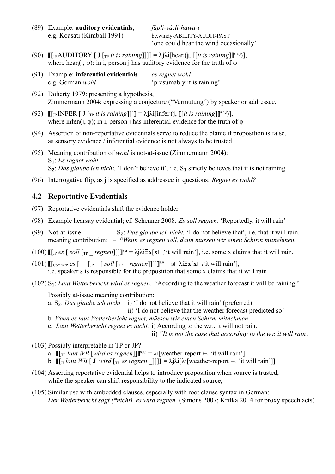(89) Example: **auditory evidentials**, *fápli-yá:li-hawa-t* e.g. Koasati (Kimball 1991) be.windy-ABILITY-AUDIT-PAST

'one could hear the wind occasionally'

- $(90) \quad \llbracket \left[ \ln \text{AUDITION} \mid J \left[ \left[ \ln \text{ } it \text{ is raining} \right] \right] \right] \rrbracket = \lambda \textbf{j} \lambda \textbf{i} \left[ \text{hear}_{i}(\textbf{j}, \llbracket \left[ \text{ } it \text{ is raining} \right] \right] \rrbracket^{s,a,j} \right],$ where hear<sub>i</sub>(j,  $\varphi$ ): in i, person j has auditory evidence for the truth of  $\varphi$
- (91) Example: **inferential evidentials** *es regnet wohl* e.g. German *wohl* 'presumably it is raining'
- (92) Doherty 1979: presenting a hypothesis, Zimmermann 2004: expressing a conjecture ("Vermutung") by speaker or addressee,
- (93)  $[[\]_P \text{INFER} [ J [\]_T \text{it is raining}]]] = \lambda \text{j} \lambda \text{i} [\text{infer}_i(\text{j}, \] [\text{it is raining}]]^{\text{s}, \text{a}, \text{j}})],$ where infer<sub>i</sub> $(i, \varphi)$ ; in i, person j has inferential evidence for the truth of  $\varphi$
- (94) Assertion of non-reportative evidentials serve to reduce the blame if proposition is false, as sensory evidence / inferential evidence is not always to be trusted.
- (95) Meaning contribution of *wohl* is not-at-issue (Zimmermann 2004): S₁: *Es regnet wohl.*  S<sub>2</sub>: *Das glaube ich nicht*. 'I don't believe it', i.e. S<sub>1</sub> strictly believes that it is not raining.
- (96) Interrogative flip, as j is specified as addressee in questions: *Regnet es wohl?*

## **4.2 Reportative Evidentials**

- (97) Reportative evidentials shift the evidence holder
- (98) Example hearsay evidential; cf. Schenner 2008. *Es soll regnen.* 'Reportedly, it will rain'
- (99) Not-at-issue  $-S_2$ : *Das glaube ich nicht*. 'I do not believe that', i.e. that it will rain. meaning contribution: – ??*Wenn es regnen soll, dann müssen wir einen Schirm mitnehmen.*
- $(100)$  [[<sub>JP</sub> *es* [*soll* [<sub>TP</sub> \_ *regnen*]]]]<sup>[s,a</sup> =  $\lambda j\lambda i \exists x[x \vdash i'$  it will rain'], i.e. some x claims that it will rain.
- $(101)$   $[[\text{CommitP} \mathit{es} [ \vdash [\text{JP} \text{Isoll} [\text{Tr} \text{I} \text{regnen}]]]]^{\text{s,a}} = s \vdash \lambda i \exists x [x \vdash_i 'it \text{ will rain}'],$ i.e. speaker s is responsible for the proposition that some x claims that it will rain
- (102) S₁: *Laut Wetterbericht wird es regnen*. 'According to the weather forecast it will be raining.'

Possibly at-issue meaning contribution:

- a. S₂: *Das glaube ich nicht.* i) 'I do not believe that it will rain' (preferred)
	- ii) 'I do not believe that the weather forecast predicted so'
- b. *Wenn es laut Wetterbericht regnet, müssen wir einen Schirm mitnehmen*.
- c. *Laut Wetterbericht regnet es nicht.* i) According to the w.r., it will not rain.

ii) ??*It is not the case that according to the w.r. it will rain*.

- (103) Possibly interpretable in TP or JP?
	- a.  $[[\]_\text{TP}$  *laut WB* [*wird es regnen*]]]<sup>[[s,a,j =  $\lambda$ i[weather-report ⊢<sub>i</sub> 'it will rain']</sup>
	- b.  $\llbracket \cdot \rrbracket_{\text{P}}$  *laut WB*  $\llbracket$  J *wird*  $\llbracket \cdot \rrbracket_{\text{P}}$  *es regnen*  $\llbracket \cdot \rrbracket \cdot \rrbracket = \lambda$ j $\lambda$ j $\llbracket \lambda$ j $\llbracket \cdot \rrbracket$  weather-report ⊢<sub>i</sub> 'it will rain']
- (104) Asserting reportative evidential helps to introduce proposition when source is trusted, while the speaker can shift responsibility to the indicated source,
- (105) Similar use with embedded clauses, especially with root clause syntax in German: *Der Wetterbericht sagt (\*nicht), es wird regnen.* (Simons 2007; Krifka 2014 for proxy speech acts)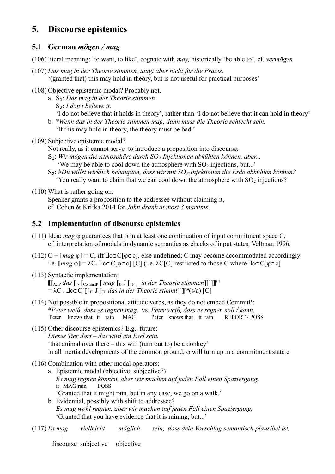# **5. Discourse epistemics**

### **5.1 German** *mögen / mag*

(106) literal meaning: 'to want, to like', cognate with *may,* historically 'be able to', cf. *vermögen*

- (107) *Das mag in der Theorie stimmen, taugt aber nicht für die Praxis.* '(granted that) this may hold in theory, but is not useful for practical purposes'
- (108) Objective epistemic modal? Probably not.
	- a. S₁: *Das mag in der Theorie stimmen.*
		- S₂: *I don't believe it.*
		- 'I do not believe that it holds in theory', rather than 'I do not believe that it can hold in theory'
	- b. \**Wenn das in der Theorie stimmen mag, dann muss die Theorie schlecht sein.* 'If this may hold in theory, the theory must be bad.'
- (109) Subjective epistemic modal?
	- Not really, as it cannot serve to introduce a proposition into discourse.
	- S₁: *Wir mögen die Atmosphäre durch SO2-Injektionen abkühlen können, aber...*
		- 'We may be able to cool down the atmosphere with  $SO_2$  injections, but...'
	- S₂: #*Du willst wirklich behaupten, dass wir mit SO2-Injektionen die Erde abkühlen können?* 'You really want to claim that we can cool down the atmosphere with  $SO_2$  injections?
- (110) What is rather going on:

Speaker grants a proposition to the addressee without claiming it, cf. Cohen & Krifka 2014 for *John drank at most 3 martinis*.

## **5.2 Implementation of discourse epistemics**

- (111) Idea: *mag*  $\varphi$  guarantees that  $\varphi$  in at least one continuation of input commitment space C, cf. interpretation of modals in dynamic semantics as checks of input states, Veltman 1996.
- (112)  $C$  +  $\llbracket mag \varphi \rrbracket = C$ , iff  $\exists c \in C[\varphi \in c]$ , else undefined; C may become accommodated accordingly i.e.  $\llbracket mag \varphi \rrbracket = \lambda C$ .  $\exists c \in C[\varphi \in c]$  [C] (i.e.  $\lambda C[C]$  restricted to those C where  $\exists c \in C[\varphi \in c]$
- (113) Syntactic implementation:  $\mathbb{I}[\text{ActP} \, das$   $[$  .  $[\text{CommitP} \, [ \, mag \, [ \text{pJ} \, [ \text{TP} \, \_ \text{in} \, der \, Theorie \, stimmen$   $]]$ ]]]<sup>s,a</sup> = λC . ∃c∈C[⟦[JP J [TP *das in der Theorie stimmt*]]⟧ s,a(s/a) [C]
- (114) Not possible in propositional attitude verbs, as they do not embed CommitP: \**Peter weiß, dass es regnen mag*. vs. *Peter weiß, dass es regnen soll / kann*. Peter knows that it rain MAG Peter knows that it rain REPORT / POSS
- (115) Other discourse epistemics? E.g., future:

*Dieses Tier dort – das wird ein Esel sein.* 'that animal over there – this will (turn out to) be a donkey' in all inertia developments of the common ground, φ will turn up in a commitment state c

- (116) Combination with other modal operators:
	- a. Epistemic modal (objective, subjective?) *Es mag regnen können, aber wir machen auf jeden Fall einen Spaziergang.* it MAG rain POSS 'Granted that it might rain, but in any case, we go on a walk.'
	- b. Evidential, possibly with shift to addressee? *Es mag wohl regnen, aber wir machen auf jeden Fall einen Spaziergang.* 'Granted that you have evidence that it is raining, but...'

(117) *Es mag vielleicht möglich sein, dass dein Vorschlag semantisch plausibel ist,* | | |

discourse subjective objective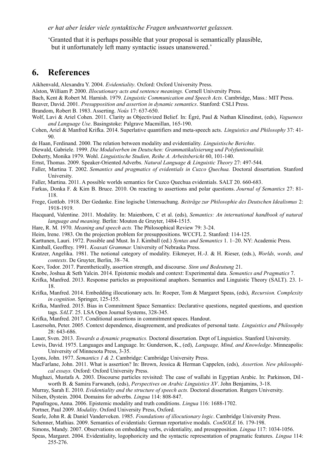*er hat aber leider viele syntaktische Fragen unbeantwortet gelassen.* 

'Granted that it is perhaps possible that your proposal is semantically plausible, but it unfortunately left many syntactic issues unanswered.'

# **6. References**

Aikhenvald, Alexandra Y. 2004. *Evidentiality*. Oxford: Oxford University Press.

- Alston, William P. 2000. *Illocutionary acts and sentence meanings.* Cornell University Press.
- Bach, Kent & Robert M. Harnish. 1979. *Linguistic Communication and Speech Acts.* Cambridge, Mass.: MIT Press.

Beaver, David. 2001. *Presupposition and assertion in dynamic semantics*. Stanford: CSLI Press.

Brandom, Robert B. 1983. Asserting. *Noûs* 17: 637-650.

Wolf, Lavi & Ariel Cohen. 2011. Clarity as Objectivized Belief. In: Égré, Paul & Nathan Klinedinst, (eds), *Vagueness and Language Use*. Basingstoke: Palgrave Macmillan, 165-190.

- Cohen, Ariel & Manfred Krifka. 2014. Superlative quantifiers and meta-speech acts. *Linguistics and Philosophy* 37: 41- 90.
- de Haan, Ferdinand. 2000. The relation between modality and evidentiality. *Linguistische Berichte*.
- Diewald, Gabriele. 1999. *Die Modalverben im Deutschen: Grammatikalisierung und Polyfuntionalität.*

Doherty, Monika 1979. Wohl. *Linguistische Studien, Reihe A. Arbeitsbericht* 60, 101-140.

Ernst, Thomas. 2009. Speaker-Oriented Adverbs. *Natural Language & Linguistic Theory* 27: 497-544.

Faller, Martina T. 2002. *Semantics and pragmatics of evidentials in Cuzco Quechua.* Doctoral dissertation. Stanford University.

Faller, Martina. 2011. A possible worlds semantics for Cuzco Quechua evidentials. SALT 20. 660-683.

- Farkas, Donka F. & Kim B. Bruce. 2010. On reacting to assertions and polar questions. *Journal of Semantics* 27: 81- 118.
- Frege, Gottlob. 1918. Der Gedanke. Eine logische Untersuchung. *Beiträge zur Philosophie des Deutschen Idealismus* 2: 1918-1919.
- Hacquard, Valentine. 2011. Modality. In: Maienborn, C et al. (eds), *Semantics: An international handbook of natural language and meaning.* Berlin: Mouton de Gruyter, 1484-1515.
- Hare, R. M. 1970. *Meaning and speech acts.* The Philosophical Review 79: 3-24.
- Heim, Irene. 1983. On the projection problem for presuppositions. WCCFL 2. Stanford: 114-125.
- Karttunen, Lauri. 1972. Possible and Must. In J. Kimball (ed.) *Syntax and Semantics* 1. 1–20. NY: Academic Press.

Kimball, Geoffrey. 1991. *Koasati Grammar.* University of Nebraska Press.

- Kratzer, Angelika. 1981. The notional category of modality. Eikmeyer, H.-J. & H. Rieser, (eds.), *Worlds, words, and contexts*. De Gruyter, Berlin, 38–74.
- Koev, Todor. 2017. Parenthetically, assertion strength, and discourse. *Sinn und Bedeutung* 21.
- Knobe, Joshua & Seth Yalcin. 2014. Epistemic modals and context: Experimental data. *Semantics and Pragmatics* 7.
- Krifka, Manfred. 2013. Response particles as propositional anaphors. Semantics and Linguistic Theory (SALT). 23. 1- 18.
- Krifka, Manfred. 2014. Embedding illocutionary acts. In: Roeper, Tom & Margaret Speas, (eds), *Recursion. Complexity in cognition*. Springer, 125-155.
- Krifka, Manfred. 2015. Bias in Commitment Space Semantics: Declarative questions, negated questions, and question tags. *SALT*. 25. LSA Open Journal Systems, 328-345.
- Krifka, Manfred. 2017. Conditional assertions in commitment spaces. Handout.
- Lasersohn, Peter. 2005. Context dependence, disagreement, and predicates of personal taste. *Linguistics and Philosophy* 28: 643-686.
- Lauer, Sven. 2013. *Towards a dynamic pragmatics.* Doctoral dissertation. Dept of Linguistics. Stanford University.
- Lewis, David. 1975. Languages and Language. In: Gunderson, K., (ed), *Language, Mind, and Knowledge*. Minneapolis: University of Minnesota Press, 3-35.
- Lyons, John. 1977. *Semantics 1 & 2*. Cambridge: Cambridge University Press.
- MacFarlane, John. 2011. What is assertion? In: Brown, Jessica & Herman Cappelen, (eds), *Assertion. New philosophical essays.* Oxford: Oxford University Press.
- Mughazi, Mustafa A. 2003. Discourse particles revisited: The case of wallahi in Egyptian Arabic. In: Parkinson, Dil worth B. & Samira Farwaneh, (eds), *Perspectives on Arabic Linguistics XV*. John Benjamins, 3-18.
- Murray, Sarah E. 2010. *Evidentiality and the structure of speech acts.* Doctoral dissertation. Rutgers University. Nilsen, Øystein. 2004. Domains for adverbs. *Lingua* 114: 808-847.
- Papafragou, Anna. 2006. Epistemic modality and truth conditions. *Lingua* 116: 1688-1702.

Portner, Paul 2009. *Modality*. Oxford University Press, Oxford.

- Searle, John R. & Daniel Vanderveken. 1985. *Foundations of illocutionary logic*. Cambridge University Press.
- Schenner, Mathias. 2009. Semantics of evidentials: German reportative modals. *ConSOLE* 16. 179-198.
- Simons, Mandy. 2007. Observations on embedding verbs, evidentiality, and presupposition. *Lingua* 117: 1034-1056.
- Speas, Margaret. 2004. Evidentiality, logophoricity and the syntactic representation of pragmatic features. *Lingua* 114: 255-276.